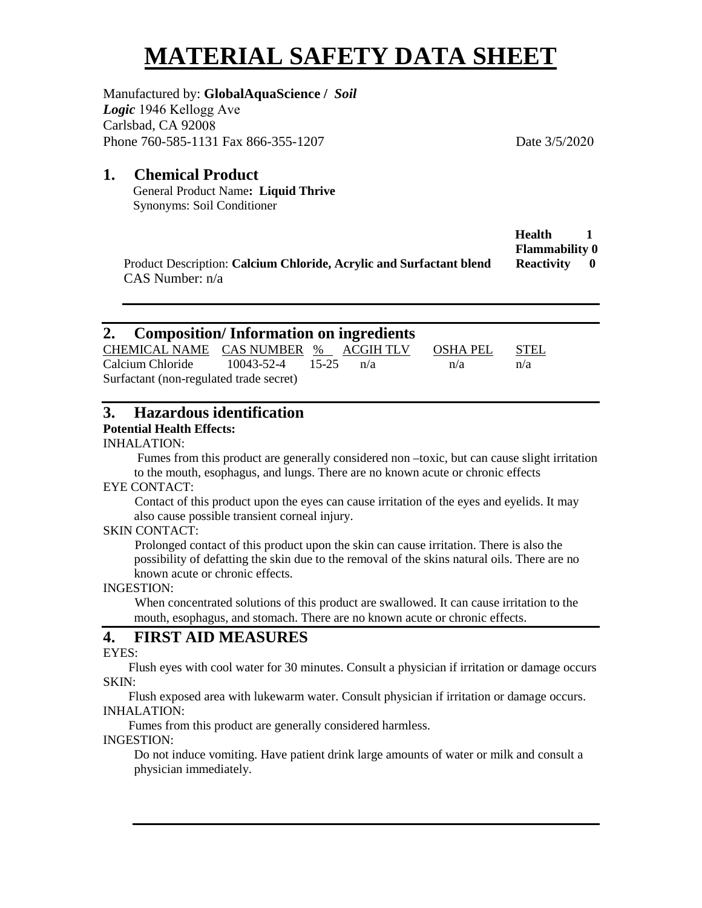# **MATERIAL SAFETY DATA SHEET**

Manufactured by: **GlobalAquaScience /** *Soil Logic* 1946 Kellogg Ave Carlsbad, CA 92008 Phone 760-585-1131 Fax 866-355-1207 Date 3/5/2020

## **1. Chemical Product**

General Product Name**: Liquid Thrive** Synonyms: Soil Conditioner

|                                                                     | <b>Health</b>         |     |
|---------------------------------------------------------------------|-----------------------|-----|
|                                                                     | <b>Flammability 0</b> |     |
| Product Description: Calcium Chloride, Acrylic and Surfactant blend | Reactivity            | - 0 |
| $CAS$ Number: $n/a$                                                 |                       |     |

| 2. Composition/Information on ingredients                                    |  |  |     |          |             |  |  |  |
|------------------------------------------------------------------------------|--|--|-----|----------|-------------|--|--|--|
| CHEMICAL NAME CAS NUMBER % ACGIH TLV                                         |  |  |     | OSHA PEL | <b>STEL</b> |  |  |  |
| Calcium Chloride 10043-52-4 15-25<br>Surfactant (non-regulated trade secret) |  |  | n/a | n/a      | n/a         |  |  |  |

# **3. Hazardous identification**

# **Potential Health Effects:**

#### INHALATION:

 Fumes from this product are generally considered non –toxic, but can cause slight irritation to the mouth, esophagus, and lungs. There are no known acute or chronic effects

#### EYE CONTACT:

 Contact of this product upon the eyes can cause irritation of the eyes and eyelids. It may also cause possible transient corneal injury.

#### SKIN CONTACT:

 Prolonged contact of this product upon the skin can cause irritation. There is also the possibility of defatting the skin due to the removal of the skins natural oils. There are no known acute or chronic effects.

#### INGESTION:

 When concentrated solutions of this product are swallowed. It can cause irritation to the mouth, esophagus, and stomach. There are no known acute or chronic effects.

# **4. FIRST AID MEASURES**

#### EYES:

 Flush eyes with cool water for 30 minutes. Consult a physician if irritation or damage occurs SKIN:

 Flush exposed area with lukewarm water. Consult physician if irritation or damage occurs. INHALATION:

Fumes from this product are generally considered harmless.

#### INGESTION:

Do not induce vomiting. Have patient drink large amounts of water or milk and consult a physician immediately.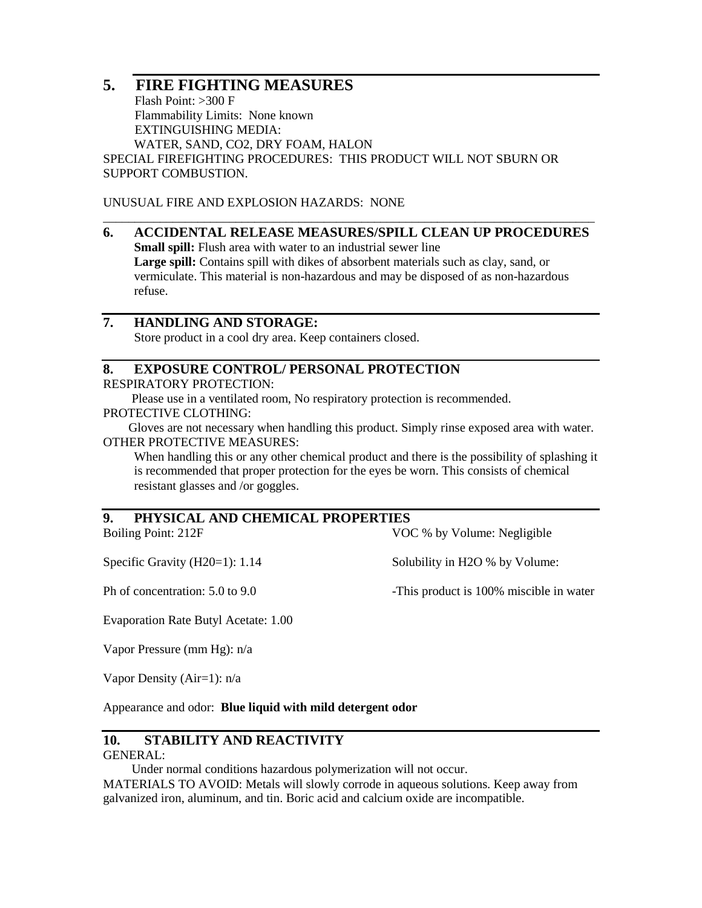# **5. FIRE FIGHTING MEASURES**

 Flash Point: >300 F Flammability Limits: None known EXTINGUISHING MEDIA: WATER, SAND, CO2, DRY FOAM, HALON SPECIAL FIREFIGHTING PROCEDURES: THIS PRODUCT WILL NOT SBURN OR SUPPORT COMBUSTION.

UNUSUAL FIRE AND EXPLOSION HAZARDS: NONE

#### \_\_\_\_\_\_\_\_\_\_\_\_\_\_\_\_\_\_\_\_\_\_\_\_\_\_\_\_\_\_\_\_\_\_\_\_\_\_\_\_\_\_\_\_\_\_\_\_\_\_\_\_\_\_\_\_\_\_\_\_\_\_\_\_\_\_\_\_\_\_\_\_\_\_\_\_\_\_ **6. ACCIDENTAL RELEASE MEASURES/SPILL CLEAN UP PROCEDURES Small spill:** Flush area with water to an industrial sewer line **Large spill:** Contains spill with dikes of absorbent materials such as clay, sand, or vermiculate. This material is non-hazardous and may be disposed of as non-hazardous refuse.

# **7. HANDLING AND STORAGE:**

Store product in a cool dry area. Keep containers closed.

#### **8. EXPOSURE CONTROL/ PERSONAL PROTECTION**

RESPIRATORY PROTECTION:

Please use in a ventilated room, No respiratory protection is recommended.

#### PROTECTIVE CLOTHING:

 Gloves are not necessary when handling this product. Simply rinse exposed area with water. OTHER PROTECTIVE MEASURES:

When handling this or any other chemical product and there is the possibility of splashing it is recommended that proper protection for the eyes be worn. This consists of chemical resistant glasses and /or goggles.

## **9. PHYSICAL AND CHEMICAL PROPERTIES**

Boiling Point: 212F VOC % by Volume: Negligible

Specific Gravity (H20=1): 1.14 Solubility in H2O % by Volume:

Ph of concentration: 5.0 to 9.0 -This product is 100% miscible in water

Evaporation Rate Butyl Acetate: 1.00

Vapor Pressure (mm Hg): n/a

Vapor Density (Air=1): n/a

Appearance and odor: **Blue liquid with mild detergent odor**

#### **10. STABILITY AND REACTIVITY**

#### GENERAL:

Under normal conditions hazardous polymerization will not occur.

MATERIALS TO AVOID: Metals will slowly corrode in aqueous solutions. Keep away from galvanized iron, aluminum, and tin. Boric acid and calcium oxide are incompatible.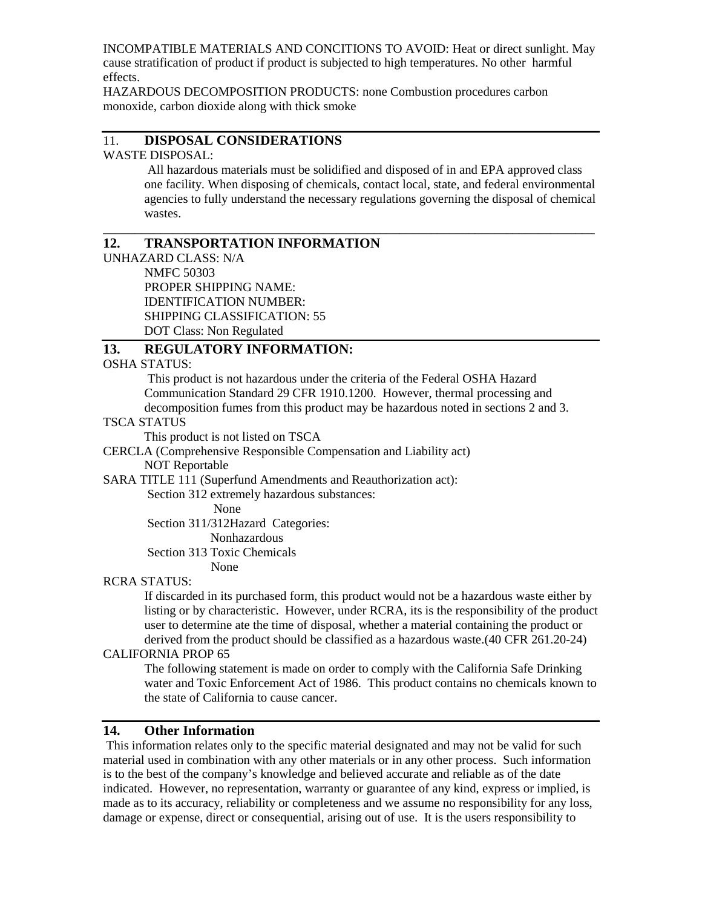INCOMPATIBLE MATERIALS AND CONCITIONS TO AVOID: Heat or direct sunlight. May cause stratification of product if product is subjected to high temperatures. No other harmful effects.

HAZARDOUS DECOMPOSITION PRODUCTS: none Combustion procedures carbon monoxide, carbon dioxide along with thick smoke

#### 11. **DISPOSAL CONSIDERATIONS** WASTE DISPOSAL:

 All hazardous materials must be solidified and disposed of in and EPA approved class one facility. When disposing of chemicals, contact local, state, and federal environmental agencies to fully understand the necessary regulations governing the disposal of chemical wastes.

**\_\_\_\_\_\_\_\_\_\_\_\_\_\_\_\_\_\_\_\_\_\_\_\_\_\_\_\_\_\_\_\_\_\_\_\_\_\_\_\_\_\_\_\_\_\_\_\_\_\_\_\_\_\_\_\_\_\_\_\_\_\_\_\_\_\_\_\_\_\_\_\_\_\_\_\_\_\_** 

# **12. TRANSPORTATION INFORMATION**

UNHAZARD CLASS: N/A NMFC 50303 PROPER SHIPPING NAME: IDENTIFICATION NUMBER: SHIPPING CLASSIFICATION: 55 DOT Class: Non Regulated

#### **13. REGULATORY INFORMATION:**

OSHA STATUS:

This product is not hazardous under the criteria of the Federal OSHA Hazard Communication Standard 29 CFR 1910.1200. However, thermal processing and decomposition fumes from this product may be hazardous noted in sections 2 and 3.

#### TSCA STATUS

This product is not listed on TSCA

CERCLA (Comprehensive Responsible Compensation and Liability act)

NOT Reportable

SARA TITLE 111 (Superfund Amendments and Reauthorization act):

Section 312 extremely hazardous substances:

None

Section 311/312Hazard Categories:

Nonhazardous

Section 313 Toxic Chemicals

None

#### RCRA STATUS:

If discarded in its purchased form, this product would not be a hazardous waste either by listing or by characteristic. However, under RCRA, its is the responsibility of the product user to determine ate the time of disposal, whether a material containing the product or derived from the product should be classified as a hazardous waste.(40 CFR 261.20-24)

#### CALIFORNIA PROP 65

The following statement is made on order to comply with the California Safe Drinking water and Toxic Enforcement Act of 1986. This product contains no chemicals known to the state of California to cause cancer.

#### **14. Other Information**

This information relates only to the specific material designated and may not be valid for such material used in combination with any other materials or in any other process. Such information is to the best of the company's knowledge and believed accurate and reliable as of the date indicated. However, no representation, warranty or guarantee of any kind, express or implied, is made as to its accuracy, reliability or completeness and we assume no responsibility for any loss, damage or expense, direct or consequential, arising out of use. It is the users responsibility to